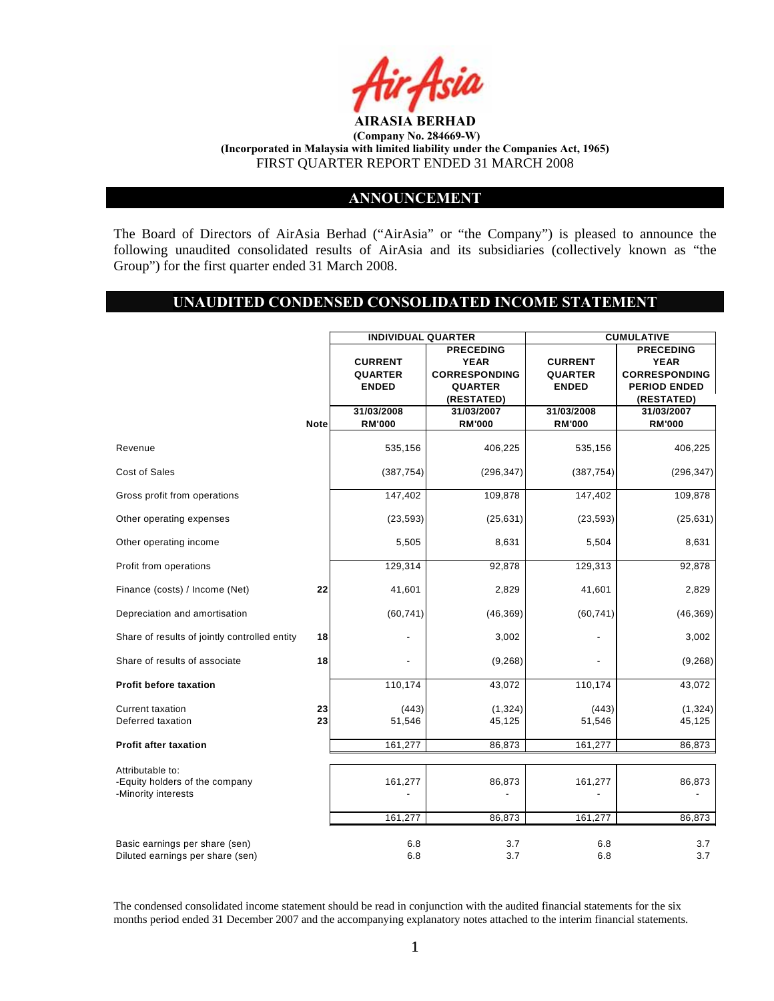

## **ANNOUNCEMENT**

The Board of Directors of AirAsia Berhad ("AirAsia" or "the Company") is pleased to announce the following unaudited consolidated results of AirAsia and its subsidiaries (collectively known as "the Group") for the first quarter ended 31 March 2008.

# **UNAUDITED CONDENSED CONSOLIDATED INCOME STATEMENT**

|                                                                           |             | <b>INDIVIDUAL QUARTER</b> |                      | <b>CUMULATIVE</b> |                      |  |
|---------------------------------------------------------------------------|-------------|---------------------------|----------------------|-------------------|----------------------|--|
|                                                                           |             | <b>PRECEDING</b>          |                      |                   | <b>PRECEDING</b>     |  |
|                                                                           |             | <b>CURRENT</b>            | <b>YEAR</b>          | <b>CURRENT</b>    | <b>YEAR</b>          |  |
|                                                                           |             | QUARTER                   | <b>CORRESPONDING</b> | <b>QUARTER</b>    | <b>CORRESPONDING</b> |  |
|                                                                           |             | <b>ENDED</b>              | <b>QUARTER</b>       | <b>ENDED</b>      | <b>PERIOD ENDED</b>  |  |
|                                                                           |             |                           | (RESTATED)           |                   | (RESTATED)           |  |
|                                                                           |             | 31/03/2008                | 31/03/2007           | 31/03/2008        | 31/03/2007           |  |
|                                                                           | <b>Note</b> | <b>RM'000</b>             | <b>RM'000</b>        | <b>RM'000</b>     | <b>RM'000</b>        |  |
| Revenue                                                                   |             | 535,156                   | 406,225              | 535,156           | 406,225              |  |
| Cost of Sales                                                             |             | (387, 754)                | (296, 347)           | (387, 754)        | (296, 347)           |  |
| Gross profit from operations                                              |             | 147,402                   | 109,878              | 147,402           | 109,878              |  |
| Other operating expenses                                                  |             | (23, 593)                 | (25, 631)            | (23, 593)         | (25, 631)            |  |
| Other operating income                                                    |             | 5,505                     | 8,631                | 5,504             | 8,631                |  |
| Profit from operations                                                    |             | 129,314                   | 92,878               | 129,313           | 92,878               |  |
| Finance (costs) / Income (Net)                                            | 22          | 41,601                    | 2,829                | 41,601            | 2,829                |  |
| Depreciation and amortisation                                             |             | (60, 741)                 | (46, 369)            | (60, 741)         | (46, 369)            |  |
| Share of results of jointly controlled entity                             | 18          |                           | 3,002                |                   | 3,002                |  |
| Share of results of associate                                             | 18          |                           | (9,268)              |                   | (9,268)              |  |
| <b>Profit before taxation</b>                                             |             | 110,174                   | 43,072               | 110,174           | 43,072               |  |
| <b>Current taxation</b>                                                   | 23          | (443)                     | (1, 324)             | (443)             | (1, 324)             |  |
| Deferred taxation                                                         | 23          | 51,546                    | 45,125               | 51,546            | 45,125               |  |
| <b>Profit after taxation</b>                                              |             | 161,277                   | 86,873               | 161,277           | 86,873               |  |
|                                                                           |             |                           |                      |                   |                      |  |
| Attributable to:<br>-Equity holders of the company<br>-Minority interests |             | 161,277                   | 86,873               | 161,277           | 86,873               |  |
|                                                                           |             | 161,277                   | 86,873               | 161,277           | 86,873               |  |
| Basic earnings per share (sen)<br>Diluted earnings per share (sen)        |             | 6.8<br>6.8                | 3.7<br>3.7           | 6.8<br>6.8        | 3.7<br>3.7           |  |

The condensed consolidated income statement should be read in conjunction with the audited financial statements for the six months period ended 31 December 2007 and the accompanying explanatory notes attached to the interim financial statements.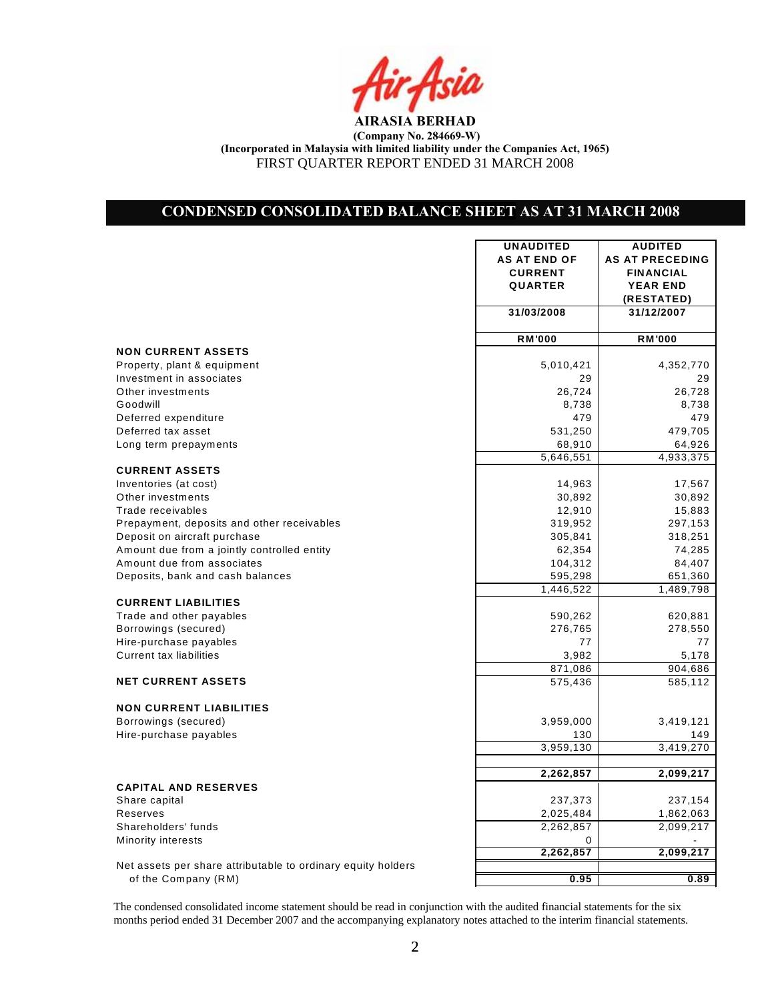

## **CONDENSED CONSOLIDATED BALANCE SHEET AS AT 31 MARCH 2008**

|                                                              | <b>UNAUDITED</b>    | <b>AUDITED</b>         |
|--------------------------------------------------------------|---------------------|------------------------|
|                                                              | <b>AS AT END OF</b> | <b>AS AT PRECEDING</b> |
|                                                              | <b>CURRENT</b>      | <b>FINANCIAL</b>       |
|                                                              | <b>QUARTER</b>      | <b>YEAR END</b>        |
|                                                              |                     | (RESTATED)             |
|                                                              | 31/03/2008          | 31/12/2007             |
|                                                              |                     |                        |
|                                                              | <b>RM'000</b>       | <b>RM'000</b>          |
| <b>NON CURRENT ASSETS</b>                                    |                     |                        |
| Property, plant & equipment                                  | 5,010,421           | 4,352,770              |
| Investment in associates                                     | 29                  | 29                     |
| Other investments                                            | 26,724              | 26,728                 |
| Goodwill                                                     | 8,738               | 8,738                  |
| Deferred expenditure                                         | 479                 | 479                    |
| Deferred tax asset                                           | 531,250             | 479,705                |
| Long term prepayments                                        | 68,910              | 64,926                 |
|                                                              | 5,646,551           | 4,933,375              |
| <b>CURRENT ASSETS</b>                                        |                     |                        |
| Inventories (at cost)                                        | 14,963              | 17,567                 |
| Other investments                                            | 30,892              | 30,892                 |
| Trade receivables                                            | 12,910              | 15,883                 |
| Prepayment, deposits and other receivables                   | 319,952             | 297,153                |
| Deposit on aircraft purchase                                 | 305,841             | 318,251                |
| Amount due from a jointly controlled entity                  | 62,354              | 74,285                 |
| Amount due from associates                                   | 104,312             | 84,407                 |
| Deposits, bank and cash balances                             | 595,298             | 651,360                |
|                                                              | 1,446,522           | 1,489,798              |
| <b>CURRENT LIABILITIES</b>                                   |                     |                        |
| Trade and other payables                                     | 590,262             | 620,881                |
| Borrowings (secured)                                         | 276,765             | 278,550                |
| Hire-purchase payables                                       | 77                  | 77                     |
| <b>Current tax liabilities</b>                               | 3,982               | 5,178                  |
|                                                              | 871,086             | 904,686                |
| <b>NET CURRENT ASSETS</b>                                    | 575,436             | 585,112                |
|                                                              |                     |                        |
| <b>NON CURRENT LIABILITIES</b>                               |                     |                        |
| Borrowings (secured)                                         | 3,959,000           | 3,419,121              |
| Hire-purchase payables                                       | 130                 | 149                    |
|                                                              | 3,959,130           | 3,419,270              |
|                                                              |                     |                        |
|                                                              | 2,262,857           | 2,099,217              |
| <b>CAPITAL AND RESERVES</b>                                  |                     |                        |
| Share capital                                                | 237,373             | 237,154                |
| Reserves                                                     | 2,025,484           | 1,862,063              |
| Shareholders' funds                                          | 2,262,857           | 2,099,217              |
| Minority interests                                           | 0                   |                        |
|                                                              | 2,262,857           | 2,099,217              |
| Net assets per share attributable to ordinary equity holders |                     |                        |
| $a f f h a$ Campany $(DM)$                                   | ៱៱៵                 | ៱៰៱                    |

of the Company (RM) **0.89 0.89** 

The condensed consolidated income statement should be read in conjunction with the audited financial statements for the six months period ended 31 December 2007 and the accompanying explanatory notes attached to the interim financial statements.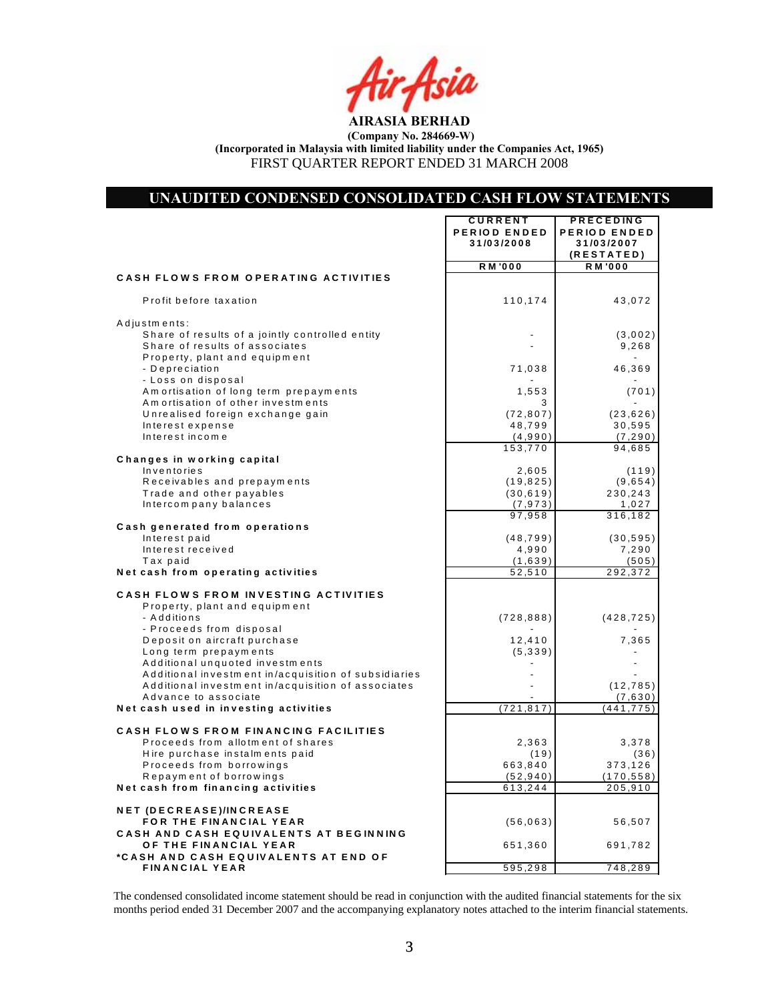### **UNAUDITED CONDENSED CONSOLIDATED CASH FLOW STATEMENTS**

 $\mathbf{r}$ 

**C U R R EN T PR EC ED IN G**

 $\overline{\mathbf{r}}$ 

|                                                                                                                                    | <b></b><br>PERIOD ENDED<br>31/03/2008 | . <i>.</i> .<br>PERIOD ENDED<br>31/03/2007<br>(RESTATED) |
|------------------------------------------------------------------------------------------------------------------------------------|---------------------------------------|----------------------------------------------------------|
|                                                                                                                                    | <b>RM'000</b>                         | <b>RM'000</b>                                            |
| <b>CASH FLOWS FROM OPERATING ACTIVITIES</b><br>Profit before taxation                                                              | 110,174                               | 43,072                                                   |
|                                                                                                                                    |                                       |                                                          |
| Adjustments:<br>Share of results of a jointly controlled entity<br>Share of results of associates<br>Property, plant and equipment |                                       | (3,002)<br>9,268                                         |
| - Depreciation<br>- Loss on disposal                                                                                               | 71,038                                | 46,369                                                   |
| Amortisation of long term prepayments<br>Amortisation of other investments                                                         | 1,553<br>3                            | (701)                                                    |
| Unrealised foreign exchange gain<br>Interest expense<br>Interest income                                                            | (72, 807)<br>48,799                   | (23, 626)<br>30,595                                      |
|                                                                                                                                    | (4,990)<br>153,770                    | (7, 290)<br>94,685                                       |
| Changes in working capital                                                                                                         |                                       |                                                          |
| Inventories                                                                                                                        | 2,605                                 | (119)                                                    |
| Receivables and prepayments                                                                                                        | (19, 825)                             | (9,654)                                                  |
| Trade and other payables                                                                                                           | (30, 619)                             | 230,243                                                  |
| Intercompany balances                                                                                                              | (7, 973)<br>97,958                    | 1,027<br>316,182                                         |
| Cash generated from operations                                                                                                     |                                       |                                                          |
| Interest paid                                                                                                                      | (48, 799)                             | (30, 595)                                                |
| Interest received                                                                                                                  | 4,990                                 | 7,290                                                    |
| Tax paid                                                                                                                           | (1,639)                               | (505)                                                    |
| Net cash from operating activities                                                                                                 | 52,510                                | 292,372                                                  |
| CASH FLOWS FROM INVESTING ACTIVITIES<br>Property, plant and equipment                                                              |                                       |                                                          |
| - Additions<br>- Proceeds from disposal                                                                                            | (728, 888)                            | (428, 725)                                               |
| Deposit on aircraft purchase                                                                                                       | 12,410                                | 7,365                                                    |
| Long term prepayments<br>Additional unquoted investments                                                                           | (5, 339)                              |                                                          |
| Additional investment in/acquisition of subsidiaries                                                                               |                                       |                                                          |
| Additional investment in/acquisition of associates                                                                                 |                                       | (12, 785)                                                |
| Advance to associate                                                                                                               |                                       | (7,630)                                                  |
| Net cash used in investing activities                                                                                              | (721, 817)                            | $(4\overline{41,775})$                                   |
| CASH FLOWS FROM FINANCING FACILITIES                                                                                               |                                       |                                                          |
| Proceeds from allotment of shares                                                                                                  | 2,363                                 | 3,378                                                    |
| Hire purchase instalments paid                                                                                                     | (19)                                  | (36)                                                     |
| Proceeds from borrowings                                                                                                           | 663,840                               | 373,126                                                  |
| Repayment of borrowings                                                                                                            | (52, 940)                             | (170, 558)                                               |
| Net cash from financing activities                                                                                                 | 613,244                               | 205,910                                                  |
| NET (DECREASE)/INCREASE<br>FOR THE FINANCIAL YEAR                                                                                  | (56, 063)                             | 56,507                                                   |
| CASH AND CASH EQUIVALENTS AT BEGINNING<br>OF THE FINANCIAL YEAR<br>*CASH AND CASH EQUIVALENTS AT END OF                            | 651,360                               | 691,782                                                  |
| <b>FINANCIAL YEAR</b>                                                                                                              | 595,298                               | 748,289                                                  |

The condensed consolidated income statement should be read in conjunction with the audited financial statements for the six months period ended 31 December 2007 and the accompanying explanatory notes attached to the interim financial statements.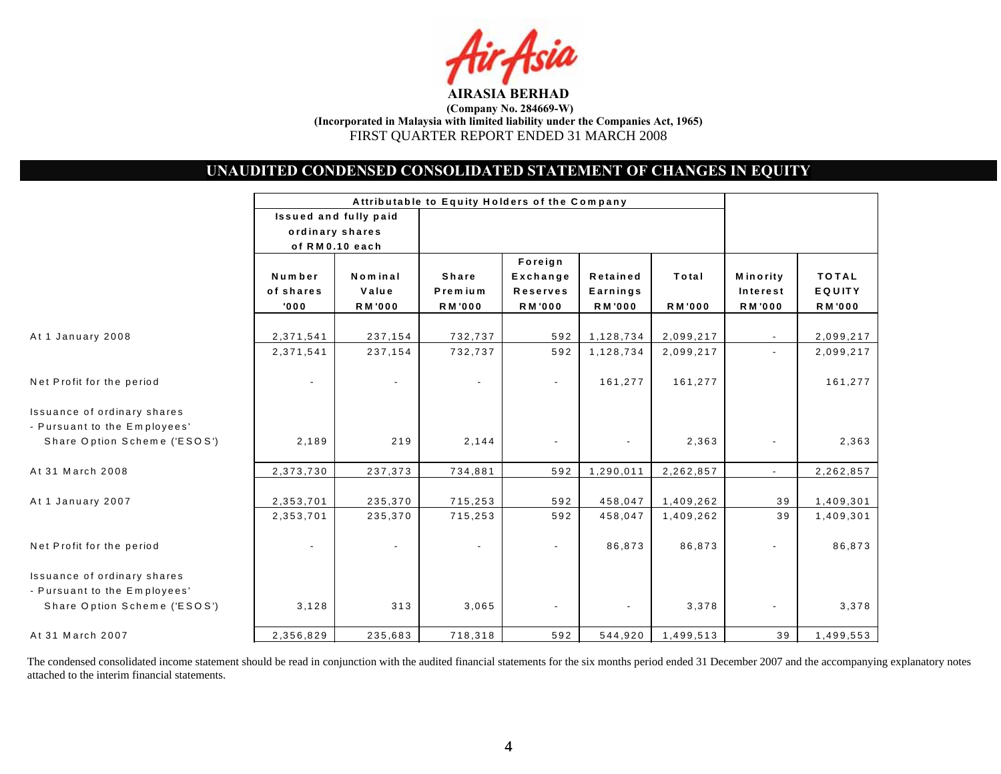

# **UNAUDITED CONDENSED CONSOLIDATED STATEMENT OF CHANGES IN EQUITY**

|                                                                                             |                                                            |                                   |                                          |                                                         | Attributable to Equity Holders of the Company |                        |                                       |                                         |
|---------------------------------------------------------------------------------------------|------------------------------------------------------------|-----------------------------------|------------------------------------------|---------------------------------------------------------|-----------------------------------------------|------------------------|---------------------------------------|-----------------------------------------|
|                                                                                             | Issued and fully paid<br>ordinary shares<br>of RM0.10 each |                                   |                                          |                                                         |                                               |                        |                                       |                                         |
|                                                                                             | Number<br>of shares<br>'000                                | Nominal<br>Value<br><b>RM'000</b> | <b>Share</b><br>Premium<br><b>RM'000</b> | Foreign<br>Exchange<br><b>Reserves</b><br><b>RM'000</b> | Retained<br>Earnings<br><b>RM'000</b>         | Total<br><b>RM'000</b> | Minority<br>Interest<br><b>RM'000</b> | <b>TOTAL</b><br>EQUITY<br><b>RM'000</b> |
| At 1 January 2008                                                                           | 2,371,541                                                  | 237,154                           | 732,737                                  | 592                                                     | 1,128,734                                     | 2,099,217              | $\sim$                                | 2,099,217                               |
|                                                                                             | 2,371,541                                                  | 237,154                           | 732,737                                  | 592                                                     | 1,128,734                                     | 2,099,217              |                                       | 2,099,217                               |
| Net Profit for the period                                                                   |                                                            |                                   |                                          | $\blacksquare$                                          | 161,277                                       | 161,277                |                                       | 161,277                                 |
| Issuance of ordinary shares<br>- Pursuant to the Employees'<br>Share Option Scheme ('ESOS') | 2,189                                                      | 219                               | 2,144                                    |                                                         | $\blacksquare$                                | 2,363                  |                                       | 2,363                                   |
| At 31 March 2008                                                                            | 2,373,730                                                  | 237,373                           | 734,881                                  | 592                                                     | 1,290,011                                     | 2,262,857              |                                       | 2,262,857                               |
| At 1 January 2007                                                                           | 2,353,701<br>2,353,701                                     | 235,370<br>235,370                | 715,253<br>715,253                       | 592<br>592                                              | 458,047<br>458,047                            | 1,409,262<br>1,409,262 | 39<br>39                              | 1,409,301<br>1,409,301                  |
| Net Profit for the period                                                                   |                                                            |                                   |                                          | $\blacksquare$                                          | 86,873                                        | 86,873                 |                                       | 86,873                                  |
| Issuance of ordinary shares<br>- Pursuant to the Employees'<br>Share Option Scheme ('ESOS') | 3,128                                                      | 313                               | 3,065                                    |                                                         |                                               | 3,378                  |                                       | 3,378                                   |
| At 31 March 2007                                                                            | 2,356,829                                                  | 235,683                           | 718,318                                  | 592                                                     | 544,920                                       | 1,499,513              | 39                                    | 1,499,553                               |

The condensed consolidated income statement should be read in conjunction with the audited financial statements for the six months period ended 31 December 2007 and the accompanying explanatory notes attached to the interim financial statements.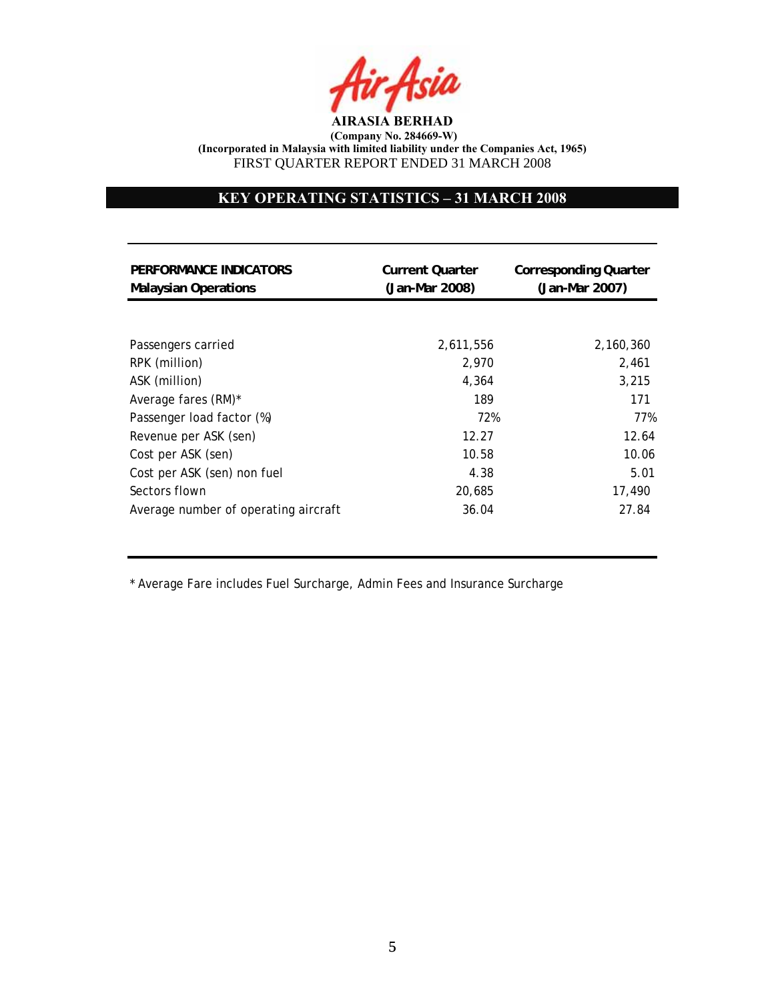

# **KEY OPERATING STATISTICS – 31 MARCH 2008**

| PERFORMANCE INDICATORS<br><b>Malaysian Operations</b> | <b>Current Quarter</b><br>(Jan-Mar 2008) | <b>Corresponding Quarter</b><br>(Jan-Mar 2007) |
|-------------------------------------------------------|------------------------------------------|------------------------------------------------|
|                                                       |                                          |                                                |
| Passengers carried                                    | 2,611,556                                | 2,160,360                                      |
| RPK (million)                                         | 2,970                                    | 2,461                                          |
| ASK (million)                                         | 4.364                                    | 3,215                                          |
| Average fares (RM)*                                   | 189                                      | 171                                            |
| Passenger load factor (%)                             | 72%                                      | 77%                                            |
| Revenue per ASK (sen)                                 | 12.27                                    | 12.64                                          |
| Cost per ASK (sen)                                    | 10.58                                    | 10.06                                          |
| Cost per ASK (sen) non fuel                           | 4.38                                     | 5.01                                           |
| Sectors flown                                         | 20,685                                   | 17,490                                         |
| Average number of operating aircraft                  | 36.04                                    | 27.84                                          |

\* Average Fare includes Fuel Surcharge, Admin Fees and Insurance Surcharge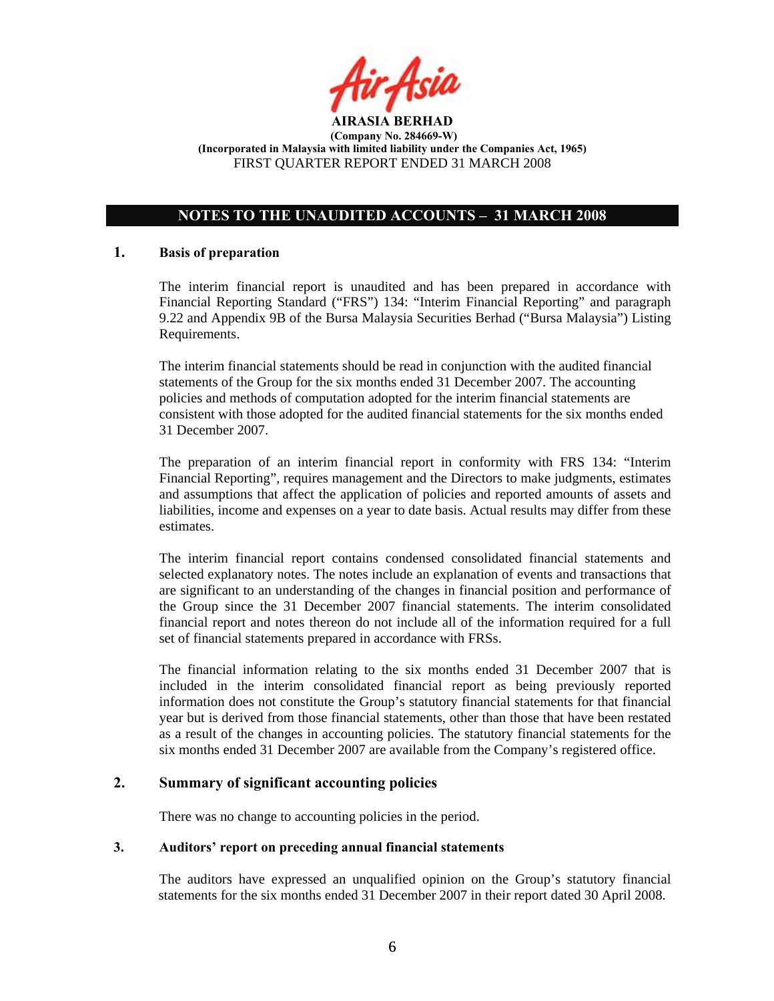

# **NOTES TO THE UNAUDITED ACCOUNTS – 31 MARCH 2008**

## **1. Basis of preparation**

The interim financial report is unaudited and has been prepared in accordance with Financial Reporting Standard ("FRS") 134: "Interim Financial Reporting" and paragraph 9.22 and Appendix 9B of the Bursa Malaysia Securities Berhad ("Bursa Malaysia") Listing Requirements.

The interim financial statements should be read in conjunction with the audited financial statements of the Group for the six months ended 31 December 2007. The accounting policies and methods of computation adopted for the interim financial statements are consistent with those adopted for the audited financial statements for the six months ended 31 December 2007.

The preparation of an interim financial report in conformity with FRS 134: "Interim Financial Reporting", requires management and the Directors to make judgments, estimates and assumptions that affect the application of policies and reported amounts of assets and liabilities, income and expenses on a year to date basis. Actual results may differ from these estimates.

The interim financial report contains condensed consolidated financial statements and selected explanatory notes. The notes include an explanation of events and transactions that are significant to an understanding of the changes in financial position and performance of the Group since the 31 December 2007 financial statements. The interim consolidated financial report and notes thereon do not include all of the information required for a full set of financial statements prepared in accordance with FRSs.

The financial information relating to the six months ended 31 December 2007 that is included in the interim consolidated financial report as being previously reported information does not constitute the Group's statutory financial statements for that financial year but is derived from those financial statements, other than those that have been restated as a result of the changes in accounting policies. The statutory financial statements for the six months ended 31 December 2007 are available from the Company's registered office.

## **2. Summary of significant accounting policies**

There was no change to accounting policies in the period.

## **3. Auditors' report on preceding annual financial statements**

The auditors have expressed an unqualified opinion on the Group's statutory financial statements for the six months ended 31 December 2007 in their report dated 30 April 2008.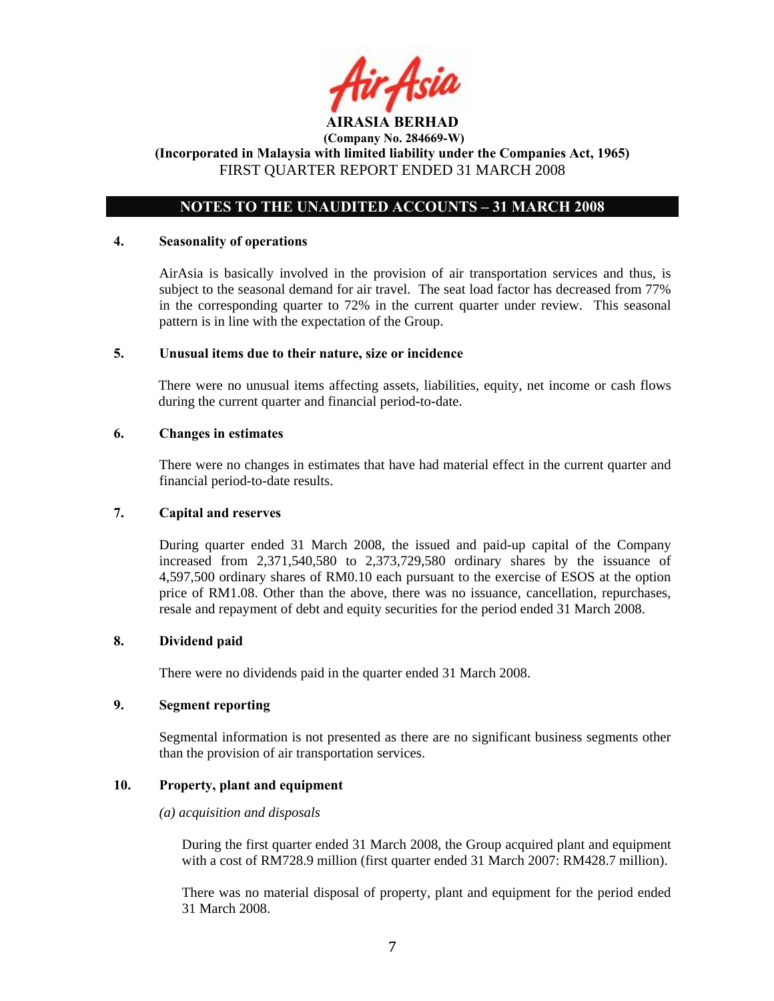

## **NOTES TO THE UNAUDITED ACCOUNTS – 31 MARCH 2008**

#### **4. Seasonality of operations**

AirAsia is basically involved in the provision of air transportation services and thus, is subject to the seasonal demand for air travel. The seat load factor has decreased from 77% in the corresponding quarter to 72% in the current quarter under review. This seasonal pattern is in line with the expectation of the Group.

### **5. Unusual items due to their nature, size or incidence**

There were no unusual items affecting assets, liabilities, equity, net income or cash flows during the current quarter and financial period-to-date.

## **6. Changes in estimates**

There were no changes in estimates that have had material effect in the current quarter and financial period-to-date results.

#### **7. Capital and reserves**

During quarter ended 31 March 2008, the issued and paid-up capital of the Company increased from 2,371,540,580 to 2,373,729,580 ordinary shares by the issuance of 4,597,500 ordinary shares of RM0.10 each pursuant to the exercise of ESOS at the option price of RM1.08. Other than the above, there was no issuance, cancellation, repurchases, resale and repayment of debt and equity securities for the period ended 31 March 2008.

## **8. Dividend paid**

There were no dividends paid in the quarter ended 31 March 2008.

## **9. Segment reporting**

Segmental information is not presented as there are no significant business segments other than the provision of air transportation services.

## **10. Property, plant and equipment**

#### *(a) acquisition and disposals*

During the first quarter ended 31 March 2008, the Group acquired plant and equipment with a cost of RM728.9 million (first quarter ended 31 March 2007: RM428.7 million).

There was no material disposal of property, plant and equipment for the period ended 31 March 2008.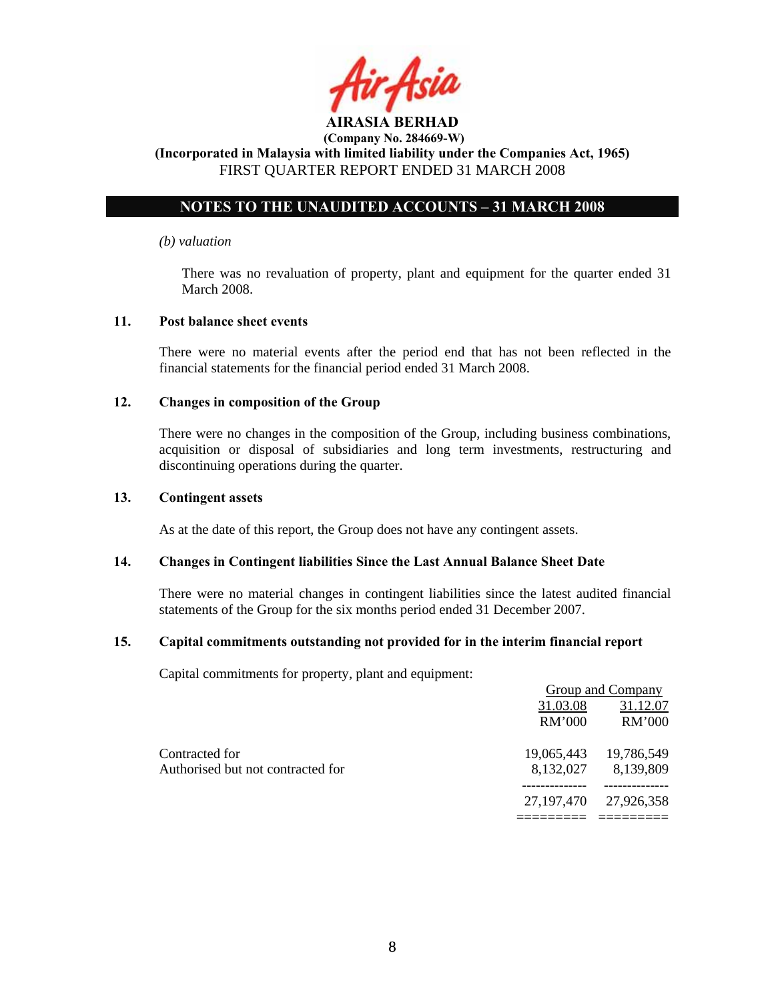

# **NOTES TO THE UNAUDITED ACCOUNTS – 31 MARCH 2008**

#### *(b) valuation*

 There was no revaluation of property, plant and equipment for the quarter ended 31 March 2008.

### **11. Post balance sheet events**

There were no material events after the period end that has not been reflected in the financial statements for the financial period ended 31 March 2008.

### **12. Changes in composition of the Group**

There were no changes in the composition of the Group, including business combinations, acquisition or disposal of subsidiaries and long term investments, restructuring and discontinuing operations during the quarter.

### **13. Contingent assets**

As at the date of this report, the Group does not have any contingent assets.

## **14. Changes in Contingent liabilities Since the Last Annual Balance Sheet Date**

There were no material changes in contingent liabilities since the latest audited financial statements of the Group for the six months period ended 31 December 2007.

#### **15. Capital commitments outstanding not provided for in the interim financial report**

Capital commitments for property, plant and equipment:

|                                   | Group and Company |            |  |  |
|-----------------------------------|-------------------|------------|--|--|
|                                   | 31.03.08          | 31.12.07   |  |  |
|                                   | RM'000            | RM'000     |  |  |
| Contracted for                    | 19,065,443        | 19,786,549 |  |  |
| Authorised but not contracted for | 8,132,027         | 8,139,809  |  |  |
|                                   | 27,197,470        | 27,926,358 |  |  |
|                                   |                   |            |  |  |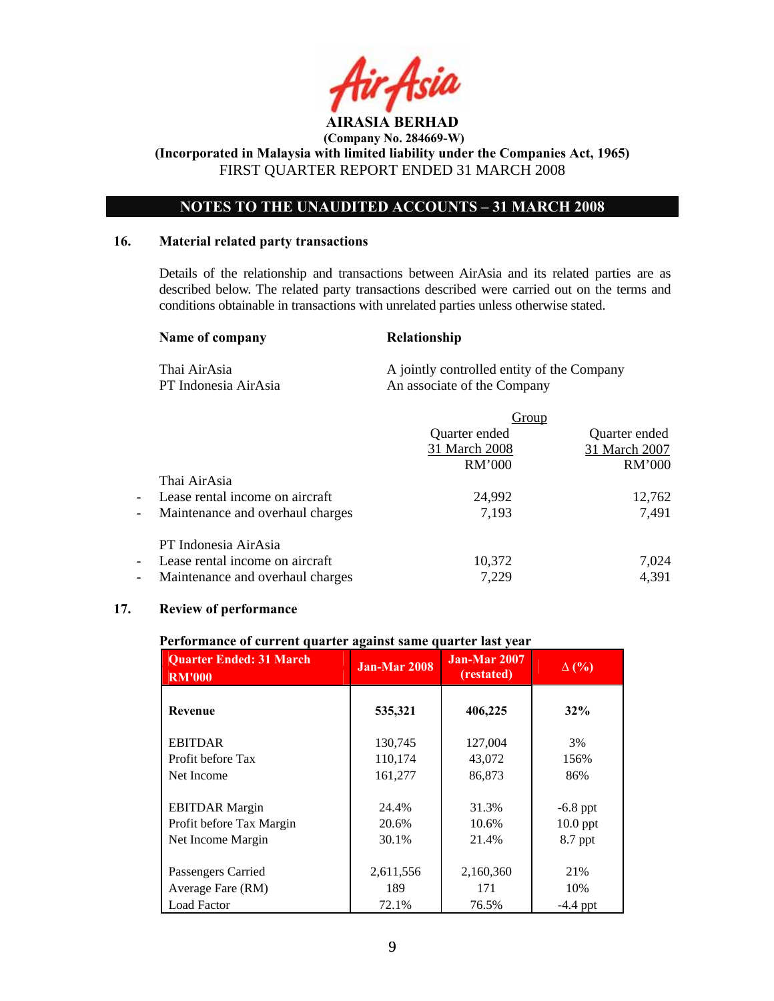

 **(Company No. 284669-W)** 

**(Incorporated in Malaysia with limited liability under the Companies Act, 1965)**  FIRST QUARTER REPORT ENDED 31 MARCH 2008

## **NOTES TO THE UNAUDITED ACCOUNTS – 31 MARCH 2008**

#### **16. Material related party transactions**

Details of the relationship and transactions between AirAsia and its related parties are as described below. The related party transactions described were carried out on the terms and conditions obtainable in transactions with unrelated parties unless otherwise stated.

#### Name of company Relationship

Thai AirAsia A jointly controlled entity of the Company PT Indonesia AirAsia An associate of the Company

|                          |                                  | Group         |               |  |
|--------------------------|----------------------------------|---------------|---------------|--|
|                          |                                  | Quarter ended | Quarter ended |  |
|                          |                                  | 31 March 2008 | 31 March 2007 |  |
|                          |                                  | <b>RM'000</b> | RM'000        |  |
|                          | Thai AirAsia                     |               |               |  |
| $\sim$                   | Lease rental income on aircraft  | 24,992        | 12,762        |  |
| $\overline{\phantom{a}}$ | Maintenance and overhaul charges | 7,193         | 7,491         |  |
|                          | PT Indonesia AirAsia             |               |               |  |
| $\overline{\phantom{a}}$ | Lease rental income on aircraft  | 10,372        | 7,024         |  |
| $\overline{\phantom{a}}$ | Maintenance and overhaul charges | 7,229         | 4,391         |  |

## **17. Review of performance**

#### **Performance of current quarter against same quarter last year**

| <b>Quarter Ended: 31 March</b><br><b>RM'000</b> | Jan-Mar 2008 | Jan-Mar 2007<br>(restated) | $\Delta$ (%) |
|-------------------------------------------------|--------------|----------------------------|--------------|
| Revenue                                         | 535,321      | 406,225                    | 32%          |
| <b>EBITDAR</b>                                  | 130,745      | 127,004                    | 3%           |
| Profit before Tax                               | 110,174      | 43,072                     | 156%         |
| Net Income                                      | 161,277      | 86,873                     | 86%          |
| <b>EBITDAR</b> Margin                           | 24.4%        | 31.3%                      | $-6.8$ ppt   |
| Profit before Tax Margin                        | 20.6%        | 10.6%                      | $10.0$ ppt   |
| Net Income Margin                               | 30.1%        | 21.4%                      | 8.7 ppt      |
| Passengers Carried                              | 2,611,556    | 2,160,360                  | 21%          |
| Average Fare (RM)                               | 189          | 171                        | 10%          |
| <b>Load Factor</b>                              | 72.1%        | 76.5%                      | $-4.4$ ppt   |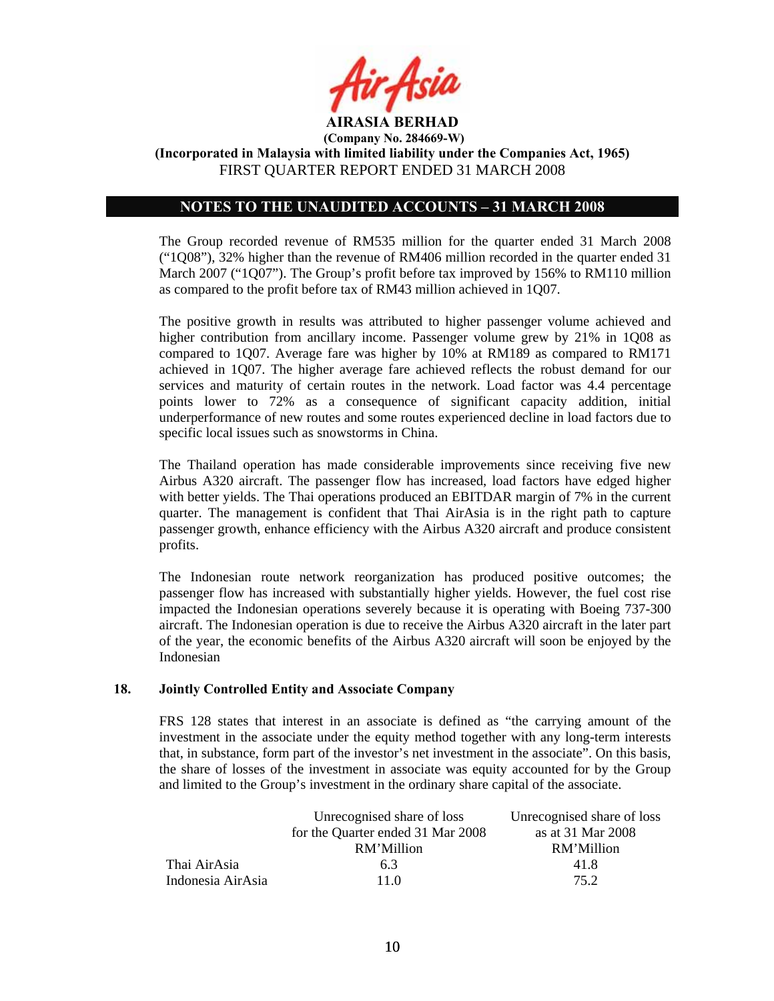

## **NOTES TO THE UNAUDITED ACCOUNTS – 31 MARCH 2008**

The Group recorded revenue of RM535 million for the quarter ended 31 March 2008 ("1Q08"), 32% higher than the revenue of RM406 million recorded in the quarter ended 31 March 2007 ("1Q07"). The Group's profit before tax improved by 156% to RM110 million as compared to the profit before tax of RM43 million achieved in 1Q07.

The positive growth in results was attributed to higher passenger volume achieved and higher contribution from ancillary income. Passenger volume grew by 21% in 1Q08 as compared to 1Q07. Average fare was higher by 10% at RM189 as compared to RM171 achieved in 1Q07. The higher average fare achieved reflects the robust demand for our services and maturity of certain routes in the network. Load factor was 4.4 percentage points lower to 72% as a consequence of significant capacity addition, initial underperformance of new routes and some routes experienced decline in load factors due to specific local issues such as snowstorms in China.

The Thailand operation has made considerable improvements since receiving five new Airbus A320 aircraft. The passenger flow has increased, load factors have edged higher with better yields. The Thai operations produced an EBITDAR margin of 7% in the current quarter. The management is confident that Thai AirAsia is in the right path to capture passenger growth, enhance efficiency with the Airbus A320 aircraft and produce consistent profits.

The Indonesian route network reorganization has produced positive outcomes; the passenger flow has increased with substantially higher yields. However, the fuel cost rise impacted the Indonesian operations severely because it is operating with Boeing 737-300 aircraft. The Indonesian operation is due to receive the Airbus A320 aircraft in the later part of the year, the economic benefits of the Airbus A320 aircraft will soon be enjoyed by the Indonesian

#### **18. Jointly Controlled Entity and Associate Company**

FRS 128 states that interest in an associate is defined as "the carrying amount of the investment in the associate under the equity method together with any long-term interests that, in substance, form part of the investor's net investment in the associate". On this basis, the share of losses of the investment in associate was equity accounted for by the Group and limited to the Group's investment in the ordinary share capital of the associate.

|                   | Unrecognised share of loss        | Unrecognised share of loss |
|-------------------|-----------------------------------|----------------------------|
|                   | for the Quarter ended 31 Mar 2008 | as at 31 Mar 2008          |
|                   | RM'Million                        | RM'Million                 |
| Thai AirAsia      | 6.3                               | 41.8                       |
| Indonesia AirAsia | 11 0                              | 75 2                       |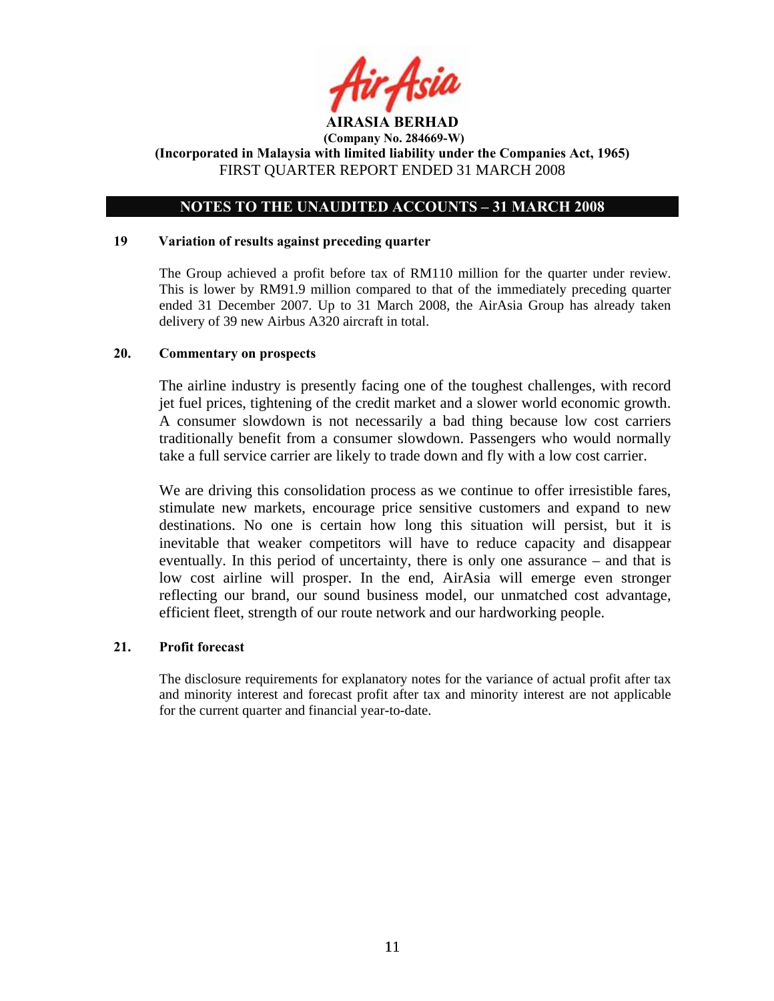

## **NOTES TO THE UNAUDITED ACCOUNTS – 31 MARCH 2008**

#### **19 Variation of results against preceding quarter**

The Group achieved a profit before tax of RM110 million for the quarter under review. This is lower by RM91.9 million compared to that of the immediately preceding quarter ended 31 December 2007. Up to 31 March 2008, the AirAsia Group has already taken delivery of 39 new Airbus A320 aircraft in total.

### **20. Commentary on prospects**

The airline industry is presently facing one of the toughest challenges, with record jet fuel prices, tightening of the credit market and a slower world economic growth. A consumer slowdown is not necessarily a bad thing because low cost carriers traditionally benefit from a consumer slowdown. Passengers who would normally take a full service carrier are likely to trade down and fly with a low cost carrier.

We are driving this consolidation process as we continue to offer irresistible fares, stimulate new markets, encourage price sensitive customers and expand to new destinations. No one is certain how long this situation will persist, but it is inevitable that weaker competitors will have to reduce capacity and disappear eventually. In this period of uncertainty, there is only one assurance – and that is low cost airline will prosper. In the end, AirAsia will emerge even stronger reflecting our brand, our sound business model, our unmatched cost advantage, efficient fleet, strength of our route network and our hardworking people.

## **21. Profit forecast**

The disclosure requirements for explanatory notes for the variance of actual profit after tax and minority interest and forecast profit after tax and minority interest are not applicable for the current quarter and financial year-to-date.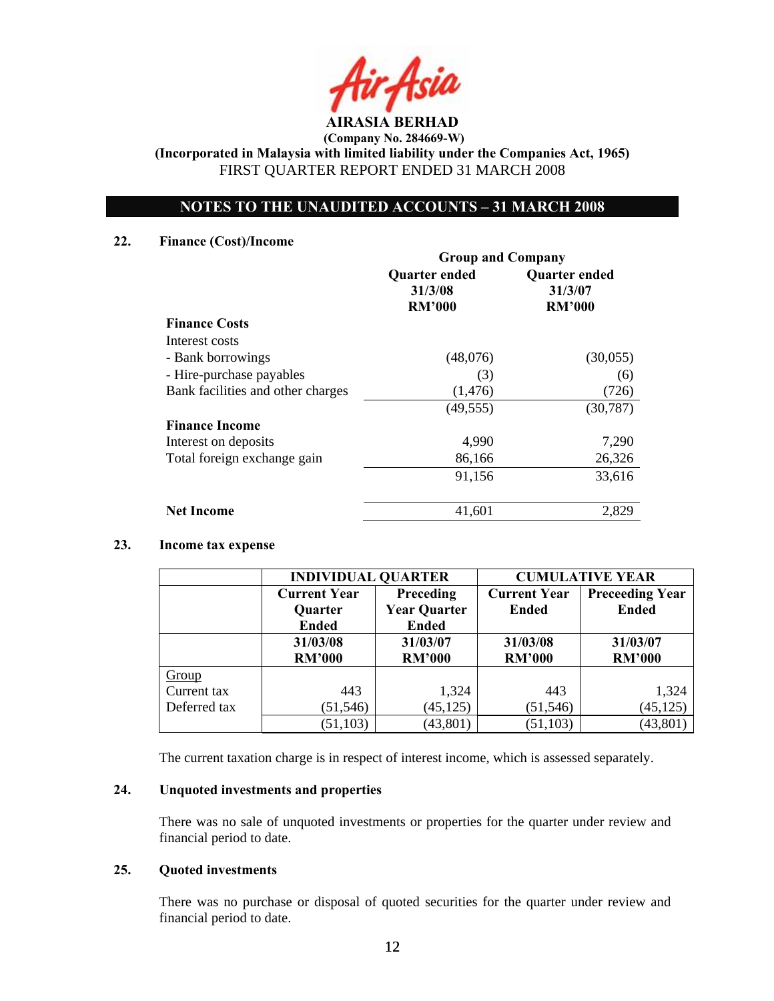

 **(Company No. 284669-W) (Incorporated in Malaysia with limited liability under the Companies Act, 1965)** 

FIRST QUARTER REPORT ENDED 31 MARCH 2008

# **NOTES TO THE UNAUDITED ACCOUNTS – 31 MARCH 2008**

## **22. Finance (Cost)/Income**

|                                   | <b>Group and Company</b>                         |                                                  |  |
|-----------------------------------|--------------------------------------------------|--------------------------------------------------|--|
|                                   | <b>Quarter ended</b><br>31/3/08<br><b>RM'000</b> | <b>Quarter ended</b><br>31/3/07<br><b>RM'000</b> |  |
| <b>Finance Costs</b>              |                                                  |                                                  |  |
| Interest costs                    |                                                  |                                                  |  |
| - Bank borrowings                 | (48,076)                                         | (30,055)                                         |  |
| - Hire-purchase payables          | (3)                                              | (6)                                              |  |
| Bank facilities and other charges | (1, 476)                                         | (726)                                            |  |
|                                   | (49, 555)                                        | (30, 787)                                        |  |
| <b>Finance Income</b>             |                                                  |                                                  |  |
| Interest on deposits              | 4,990                                            | 7,290                                            |  |
| Total foreign exchange gain       | 86,166                                           | 26,326                                           |  |
|                                   | 91,156                                           | 33,616                                           |  |
| <b>Net Income</b>                 | 41,601                                           | 2,829                                            |  |

## **23. Income tax expense**

|              | <b>INDIVIDUAL QUARTER</b> |                     | <b>CUMULATIVE YEAR</b> |                        |  |
|--------------|---------------------------|---------------------|------------------------|------------------------|--|
|              | <b>Current Year</b>       | Preceding           | <b>Current Year</b>    | <b>Preceeding Year</b> |  |
|              | <b>Quarter</b>            | <b>Year Quarter</b> | <b>Ended</b>           | <b>Ended</b>           |  |
|              | <b>Ended</b>              | <b>Ended</b>        |                        |                        |  |
|              | 31/03/08                  | 31/03/07            | 31/03/08               | 31/03/07               |  |
|              | <b>RM'000</b>             | <b>RM'000</b>       | <b>RM'000</b>          | <b>RM'000</b>          |  |
| Group        |                           |                     |                        |                        |  |
| Current tax  | 443                       | 1,324               | 443                    | 1,324                  |  |
| Deferred tax | (51, 546)                 | (45, 125)           | (51, 546)              | (45, 125)              |  |
|              | (51, 103)                 | (43, 801)           | (51, 103)              | (43, 801)              |  |

The current taxation charge is in respect of interest income, which is assessed separately.

## **24. Unquoted investments and properties**

There was no sale of unquoted investments or properties for the quarter under review and financial period to date.

## **25. Quoted investments**

There was no purchase or disposal of quoted securities for the quarter under review and financial period to date.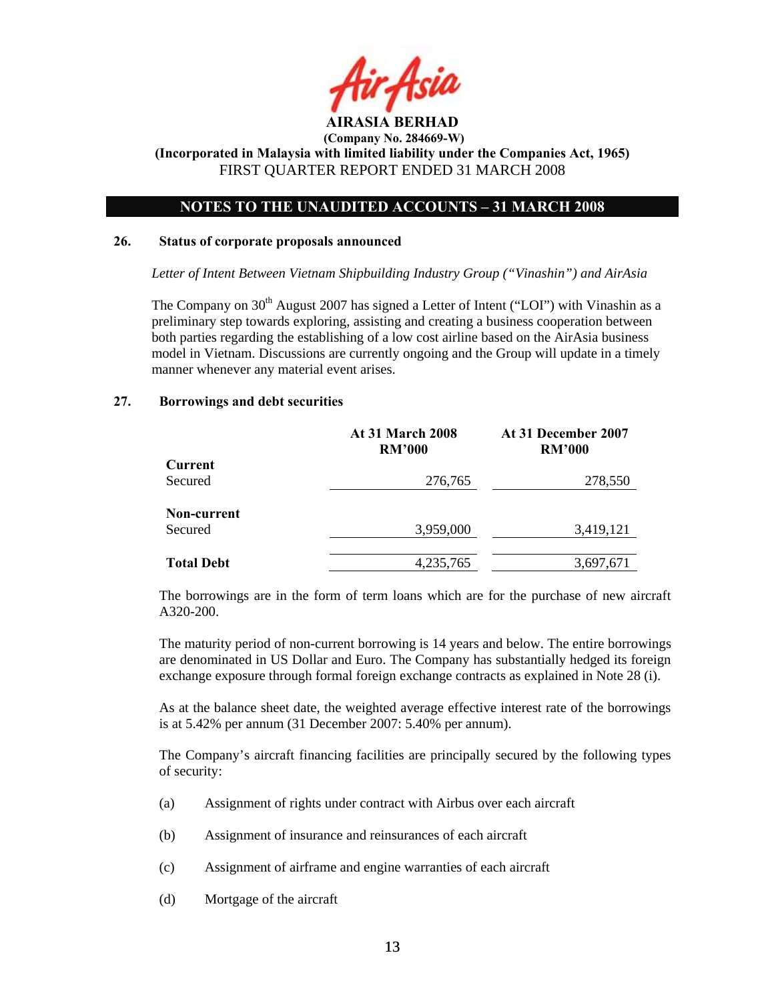

## **NOTES TO THE UNAUDITED ACCOUNTS – 31 MARCH 2008**

#### **26. Status of corporate proposals announced**

*Letter of Intent Between Vietnam Shipbuilding Industry Group ("Vinashin") and AirAsia* 

The Company on  $30<sup>th</sup>$  August 2007 has signed a Letter of Intent ("LOI") with Vinashin as a preliminary step towards exploring, assisting and creating a business cooperation between both parties regarding the establishing of a low cost airline based on the AirAsia business model in Vietnam. Discussions are currently ongoing and the Group will update in a timely manner whenever any material event arises.

### **27. Borrowings and debt securities**

|                   | <b>At 31 March 2008</b><br><b>RM'000</b> | At 31 December 2007<br><b>RM'000</b> |
|-------------------|------------------------------------------|--------------------------------------|
| Current           |                                          |                                      |
| Secured           | 276,765                                  | 278,550                              |
| Non-current       |                                          |                                      |
| Secured           | 3,959,000                                | 3,419,121                            |
|                   |                                          |                                      |
| <b>Total Debt</b> | 4,235,765                                | 3,697,671                            |

The borrowings are in the form of term loans which are for the purchase of new aircraft A320-200.

The maturity period of non-current borrowing is 14 years and below. The entire borrowings are denominated in US Dollar and Euro. The Company has substantially hedged its foreign exchange exposure through formal foreign exchange contracts as explained in Note 28 (i).

As at the balance sheet date, the weighted average effective interest rate of the borrowings is at 5.42% per annum (31 December 2007: 5.40% per annum).

The Company's aircraft financing facilities are principally secured by the following types of security:

- (a) Assignment of rights under contract with Airbus over each aircraft
- (b) Assignment of insurance and reinsurances of each aircraft
- (c) Assignment of airframe and engine warranties of each aircraft
- (d) Mortgage of the aircraft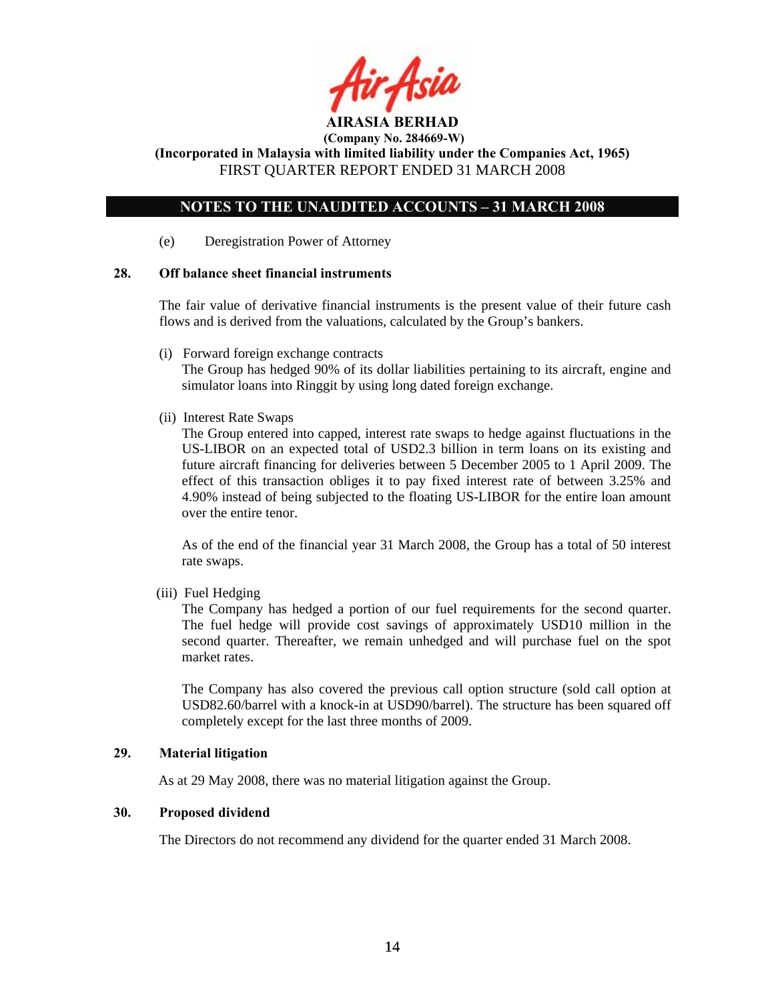

 **(Company No. 284669-W)** 

**(Incorporated in Malaysia with limited liability under the Companies Act, 1965)**  FIRST QUARTER REPORT ENDED 31 MARCH 2008

## **NOTES TO THE UNAUDITED ACCOUNTS – 31 MARCH 2008**

(e) Deregistration Power of Attorney

## **28. Off balance sheet financial instruments**

 The fair value of derivative financial instruments is the present value of their future cash flows and is derived from the valuations, calculated by the Group's bankers.

(i) Forward foreign exchange contracts

 The Group has hedged 90% of its dollar liabilities pertaining to its aircraft, engine and simulator loans into Ringgit by using long dated foreign exchange.

(ii) Interest Rate Swaps

The Group entered into capped, interest rate swaps to hedge against fluctuations in the US-LIBOR on an expected total of USD2.3 billion in term loans on its existing and future aircraft financing for deliveries between 5 December 2005 to 1 April 2009. The effect of this transaction obliges it to pay fixed interest rate of between 3.25% and 4.90% instead of being subjected to the floating US-LIBOR for the entire loan amount over the entire tenor.

As of the end of the financial year 31 March 2008, the Group has a total of 50 interest rate swaps.

(iii) Fuel Hedging

The Company has hedged a portion of our fuel requirements for the second quarter. The fuel hedge will provide cost savings of approximately USD10 million in the second quarter. Thereafter, we remain unhedged and will purchase fuel on the spot market rates.

The Company has also covered the previous call option structure (sold call option at USD82.60/barrel with a knock-in at USD90/barrel). The structure has been squared off completely except for the last three months of 2009.

## **29. Material litigation**

As at 29 May 2008, there was no material litigation against the Group.

## **30. Proposed dividend**

The Directors do not recommend any dividend for the quarter ended 31 March 2008.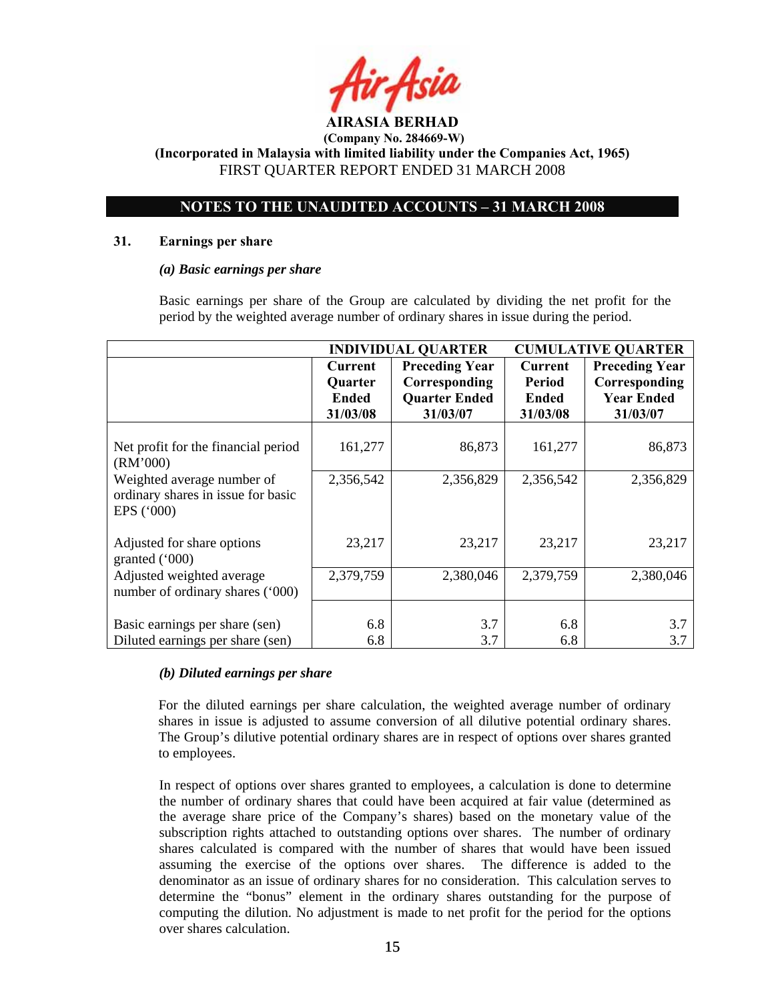

 **(Company No. 284669-W)** 

**(Incorporated in Malaysia with limited liability under the Companies Act, 1965)**  FIRST QUARTER REPORT ENDED 31 MARCH 2008

# **NOTES TO THE UNAUDITED ACCOUNTS – 31 MARCH 2008**

### **31. Earnings per share**

### *(a) Basic earnings per share*

 Basic earnings per share of the Group are calculated by dividing the net profit for the period by the weighted average number of ordinary shares in issue during the period.

|                                                                                | <b>INDIVIDUAL QUARTER</b>                                    |                                                                            | <b>CUMULATIVE QUARTER</b>                            |                                                                         |
|--------------------------------------------------------------------------------|--------------------------------------------------------------|----------------------------------------------------------------------------|------------------------------------------------------|-------------------------------------------------------------------------|
|                                                                                | <b>Current</b><br><b>Quarter</b><br><b>Ended</b><br>31/03/08 | <b>Preceding Year</b><br>Corresponding<br><b>Quarter Ended</b><br>31/03/07 | <b>Current</b><br>Period<br><b>Ended</b><br>31/03/08 | <b>Preceding Year</b><br>Corresponding<br><b>Year Ended</b><br>31/03/07 |
| Net profit for the financial period<br>(RM'000)                                | 161,277                                                      | 86,873                                                                     | 161,277                                              | 86,873                                                                  |
| Weighted average number of<br>ordinary shares in issue for basic<br>EPS ('000) | 2,356,542                                                    | 2,356,829                                                                  | 2,356,542                                            | 2,356,829                                                               |
| Adjusted for share options<br>granted $(000)$                                  | 23,217                                                       | 23,217                                                                     | 23,217                                               | 23,217                                                                  |
| Adjusted weighted average<br>number of ordinary shares ('000)                  | 2,379,759                                                    | 2,380,046                                                                  | 2,379,759                                            | 2,380,046                                                               |
| Basic earnings per share (sen)<br>Diluted earnings per share (sen)             | 6.8<br>6.8                                                   | 3.7<br>3.7                                                                 | 6.8<br>6.8                                           | 3.7<br>3.7                                                              |

## *(b) Diluted earnings per share*

For the diluted earnings per share calculation, the weighted average number of ordinary shares in issue is adjusted to assume conversion of all dilutive potential ordinary shares. The Group's dilutive potential ordinary shares are in respect of options over shares granted to employees.

 In respect of options over shares granted to employees, a calculation is done to determine the number of ordinary shares that could have been acquired at fair value (determined as the average share price of the Company's shares) based on the monetary value of the subscription rights attached to outstanding options over shares. The number of ordinary shares calculated is compared with the number of shares that would have been issued assuming the exercise of the options over shares. The difference is added to the denominator as an issue of ordinary shares for no consideration. This calculation serves to determine the "bonus" element in the ordinary shares outstanding for the purpose of computing the dilution. No adjustment is made to net profit for the period for the options over shares calculation.